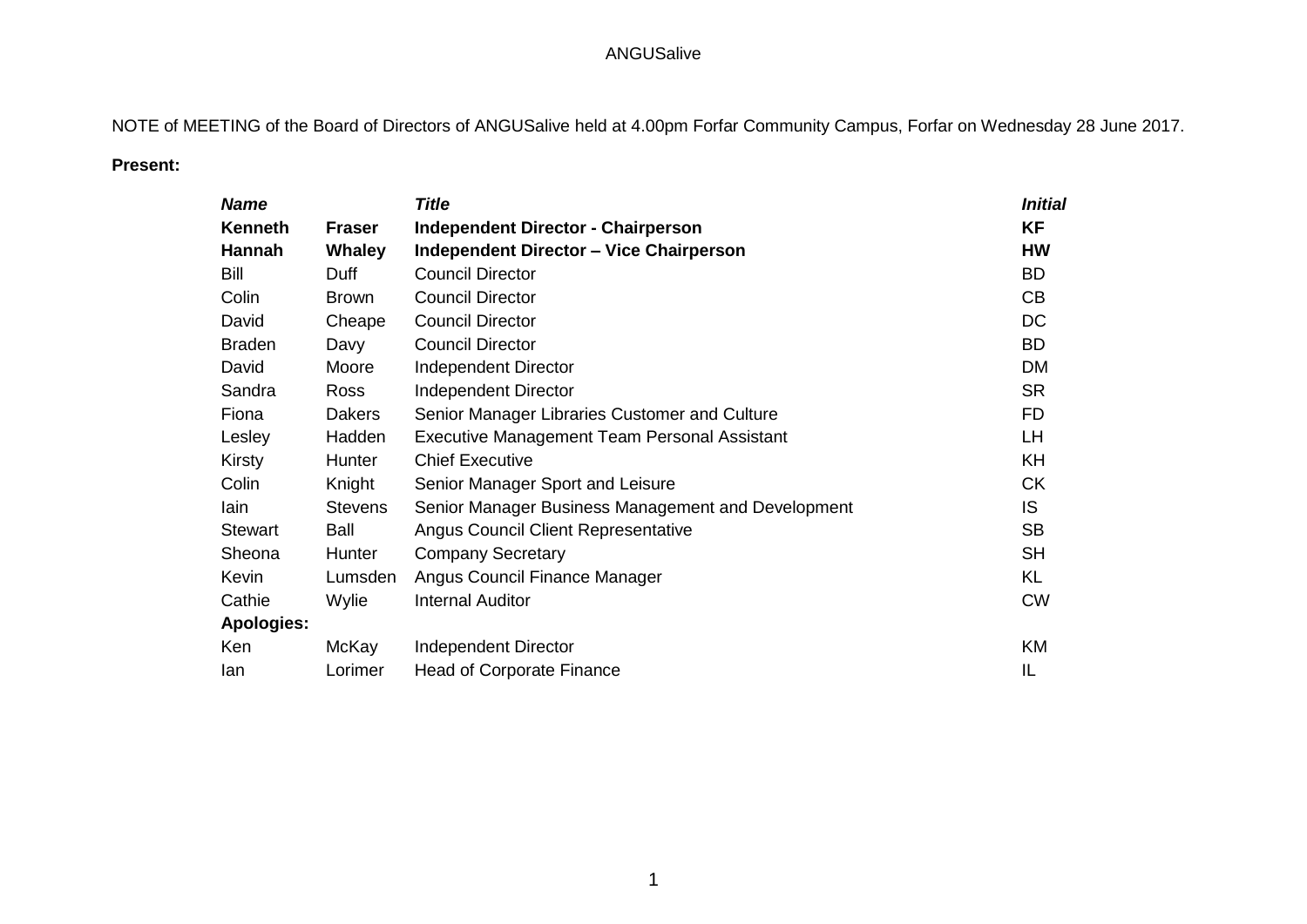NOTE of MEETING of the Board of Directors of ANGUSalive held at 4.00pm Forfar Community Campus, Forfar on Wednesday 28 June 2017.

## **Present:**

| <b>Name</b>       |                | <b>Title</b>                                        | Initial   |
|-------------------|----------------|-----------------------------------------------------|-----------|
| <b>Kenneth</b>    | <b>Fraser</b>  | <b>Independent Director - Chairperson</b>           | <b>KF</b> |
| Hannah            | <b>Whaley</b>  | <b>Independent Director - Vice Chairperson</b>      | <b>HW</b> |
| Bill              | Duff           | <b>Council Director</b>                             | <b>BD</b> |
| Colin             | <b>Brown</b>   | <b>Council Director</b>                             | CB        |
| David             | Cheape         | <b>Council Director</b>                             | DC        |
| <b>Braden</b>     | Davy           | <b>Council Director</b>                             | <b>BD</b> |
| David             | Moore          | <b>Independent Director</b>                         | <b>DM</b> |
| Sandra            | Ross           | <b>Independent Director</b>                         | <b>SR</b> |
| Fiona             | <b>Dakers</b>  | Senior Manager Libraries Customer and Culture       | FD.       |
| Lesley            | Hadden         | <b>Executive Management Team Personal Assistant</b> | LH.       |
| Kirsty            | Hunter         | <b>Chief Executive</b>                              | KH.       |
| Colin             | Knight         | Senior Manager Sport and Leisure                    | <b>CK</b> |
| lain              | <b>Stevens</b> | Senior Manager Business Management and Development  | IS        |
| <b>Stewart</b>    | <b>Ball</b>    | Angus Council Client Representative                 | <b>SB</b> |
| Sheona            | Hunter         | <b>Company Secretary</b>                            | <b>SH</b> |
| Kevin             | Lumsden        | Angus Council Finance Manager                       | <b>KL</b> |
| Cathie            | Wylie          | <b>Internal Auditor</b>                             | <b>CW</b> |
| <b>Apologies:</b> |                |                                                     |           |
| Ken               | McKay          | Independent Director                                | KM        |
| lan               | Lorimer        | <b>Head of Corporate Finance</b>                    | IL        |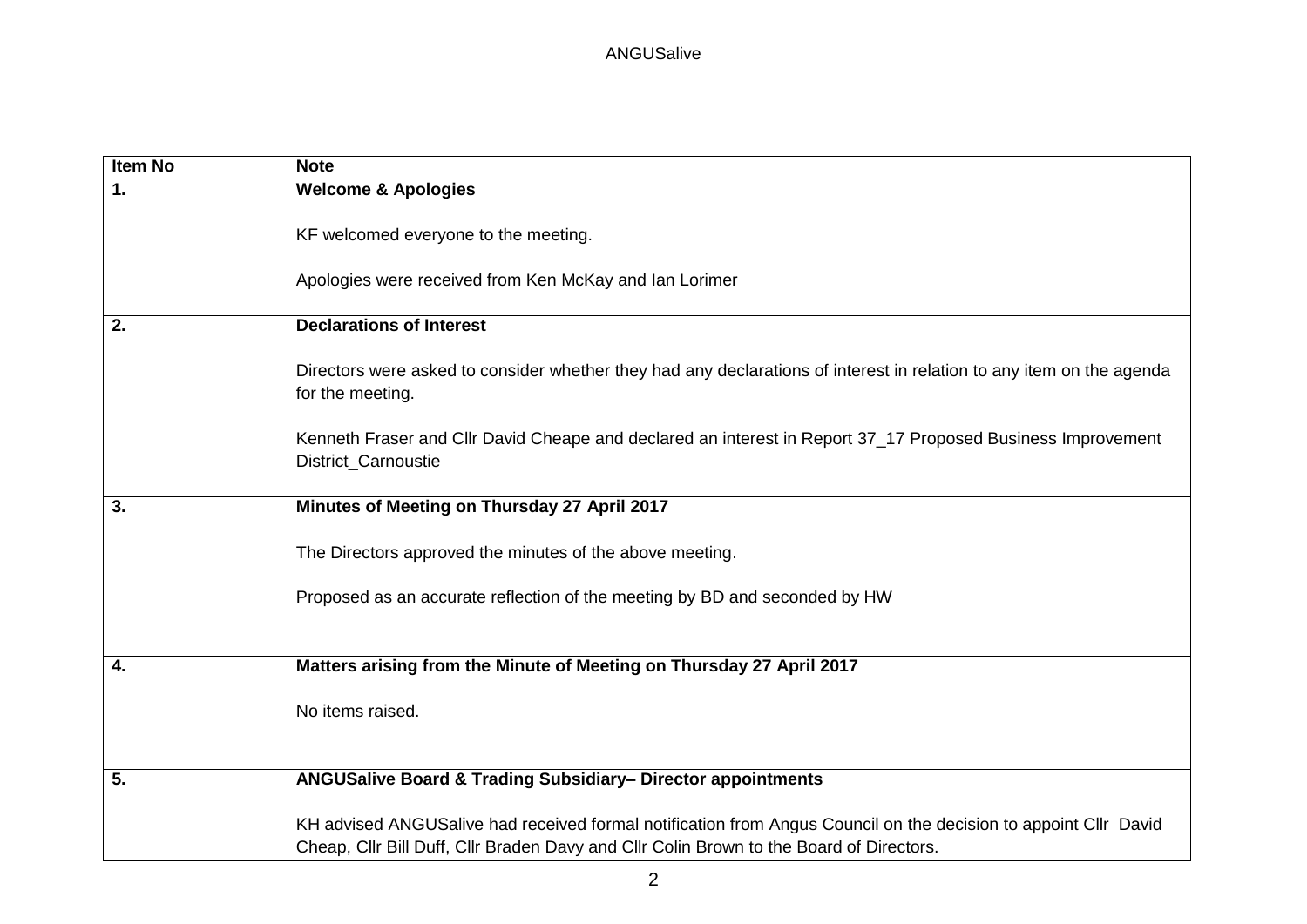| <b>Item No</b> | <b>Note</b>                                                                                                                                                                                                |
|----------------|------------------------------------------------------------------------------------------------------------------------------------------------------------------------------------------------------------|
| 1.             | <b>Welcome &amp; Apologies</b>                                                                                                                                                                             |
|                | KF welcomed everyone to the meeting.<br>Apologies were received from Ken McKay and Ian Lorimer                                                                                                             |
|                |                                                                                                                                                                                                            |
| 2.             | <b>Declarations of Interest</b>                                                                                                                                                                            |
|                | Directors were asked to consider whether they had any declarations of interest in relation to any item on the agenda<br>for the meeting.                                                                   |
|                | Kenneth Fraser and Cllr David Cheape and declared an interest in Report 37_17 Proposed Business Improvement<br>District_Carnoustie                                                                         |
| 3.             | Minutes of Meeting on Thursday 27 April 2017                                                                                                                                                               |
|                | The Directors approved the minutes of the above meeting.                                                                                                                                                   |
|                | Proposed as an accurate reflection of the meeting by BD and seconded by HW                                                                                                                                 |
| 4.             | Matters arising from the Minute of Meeting on Thursday 27 April 2017                                                                                                                                       |
|                | No items raised.                                                                                                                                                                                           |
|                |                                                                                                                                                                                                            |
| 5.             | ANGUSalive Board & Trading Subsidiary- Director appointments                                                                                                                                               |
|                | KH advised ANGUSalive had received formal notification from Angus Council on the decision to appoint Cllr David<br>Cheap, Cllr Bill Duff, Cllr Braden Davy and Cllr Colin Brown to the Board of Directors. |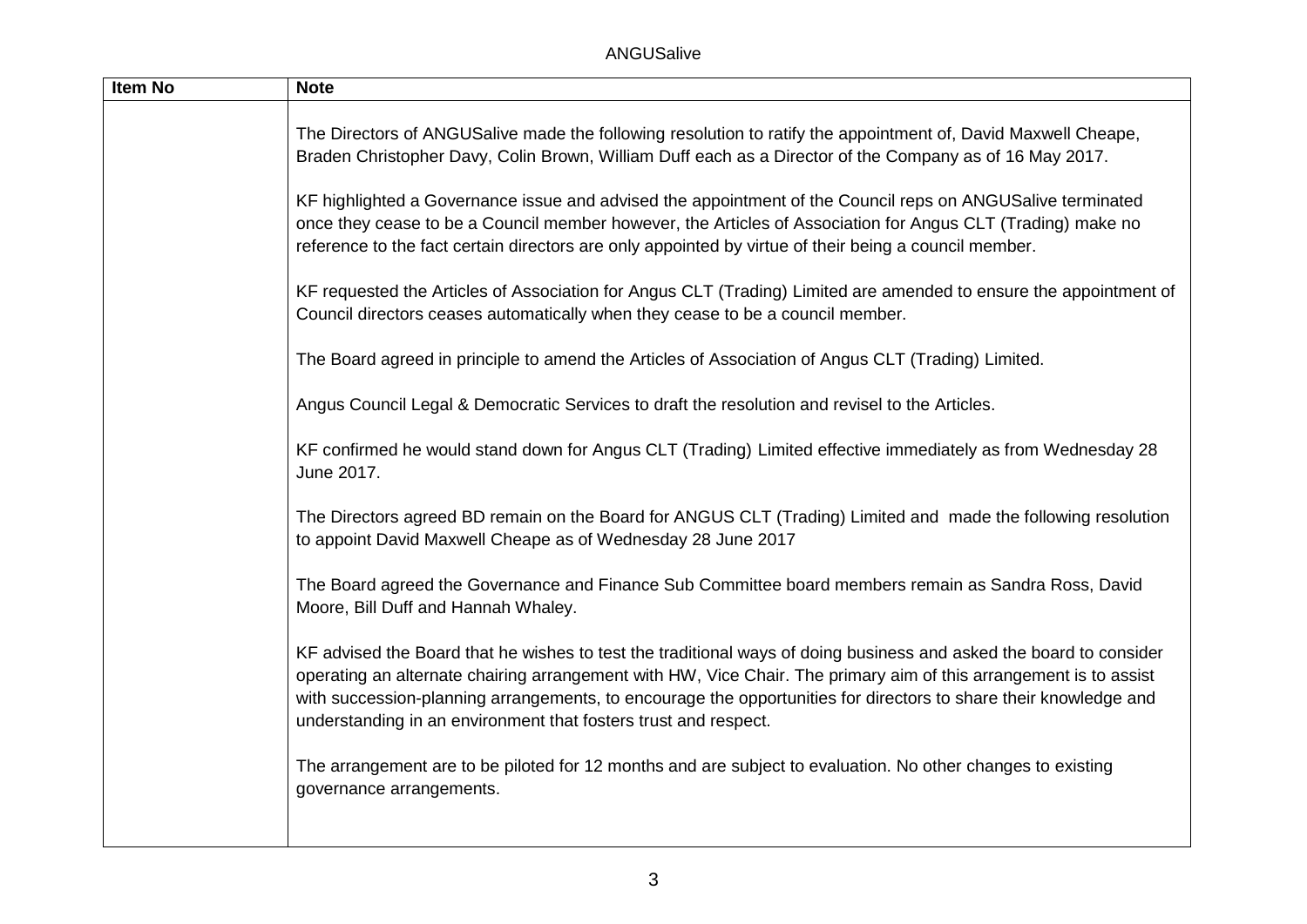| <b>Note</b>                                                                                                                                                                                                                                                                                                                                                                                                                    |
|--------------------------------------------------------------------------------------------------------------------------------------------------------------------------------------------------------------------------------------------------------------------------------------------------------------------------------------------------------------------------------------------------------------------------------|
| The Directors of ANGUSalive made the following resolution to ratify the appointment of, David Maxwell Cheape,<br>Braden Christopher Davy, Colin Brown, William Duff each as a Director of the Company as of 16 May 2017.                                                                                                                                                                                                       |
| KF highlighted a Governance issue and advised the appointment of the Council reps on ANGUSalive terminated<br>once they cease to be a Council member however, the Articles of Association for Angus CLT (Trading) make no<br>reference to the fact certain directors are only appointed by virtue of their being a council member.                                                                                             |
| KF requested the Articles of Association for Angus CLT (Trading) Limited are amended to ensure the appointment of<br>Council directors ceases automatically when they cease to be a council member.                                                                                                                                                                                                                            |
| The Board agreed in principle to amend the Articles of Association of Angus CLT (Trading) Limited.                                                                                                                                                                                                                                                                                                                             |
| Angus Council Legal & Democratic Services to draft the resolution and revisel to the Articles.                                                                                                                                                                                                                                                                                                                                 |
| KF confirmed he would stand down for Angus CLT (Trading) Limited effective immediately as from Wednesday 28<br>June 2017.                                                                                                                                                                                                                                                                                                      |
| The Directors agreed BD remain on the Board for ANGUS CLT (Trading) Limited and made the following resolution<br>to appoint David Maxwell Cheape as of Wednesday 28 June 2017                                                                                                                                                                                                                                                  |
| The Board agreed the Governance and Finance Sub Committee board members remain as Sandra Ross, David<br>Moore, Bill Duff and Hannah Whaley.                                                                                                                                                                                                                                                                                    |
| KF advised the Board that he wishes to test the traditional ways of doing business and asked the board to consider<br>operating an alternate chairing arrangement with HW, Vice Chair. The primary aim of this arrangement is to assist<br>with succession-planning arrangements, to encourage the opportunities for directors to share their knowledge and<br>understanding in an environment that fosters trust and respect. |
| The arrangement are to be piloted for 12 months and are subject to evaluation. No other changes to existing<br>governance arrangements.                                                                                                                                                                                                                                                                                        |
|                                                                                                                                                                                                                                                                                                                                                                                                                                |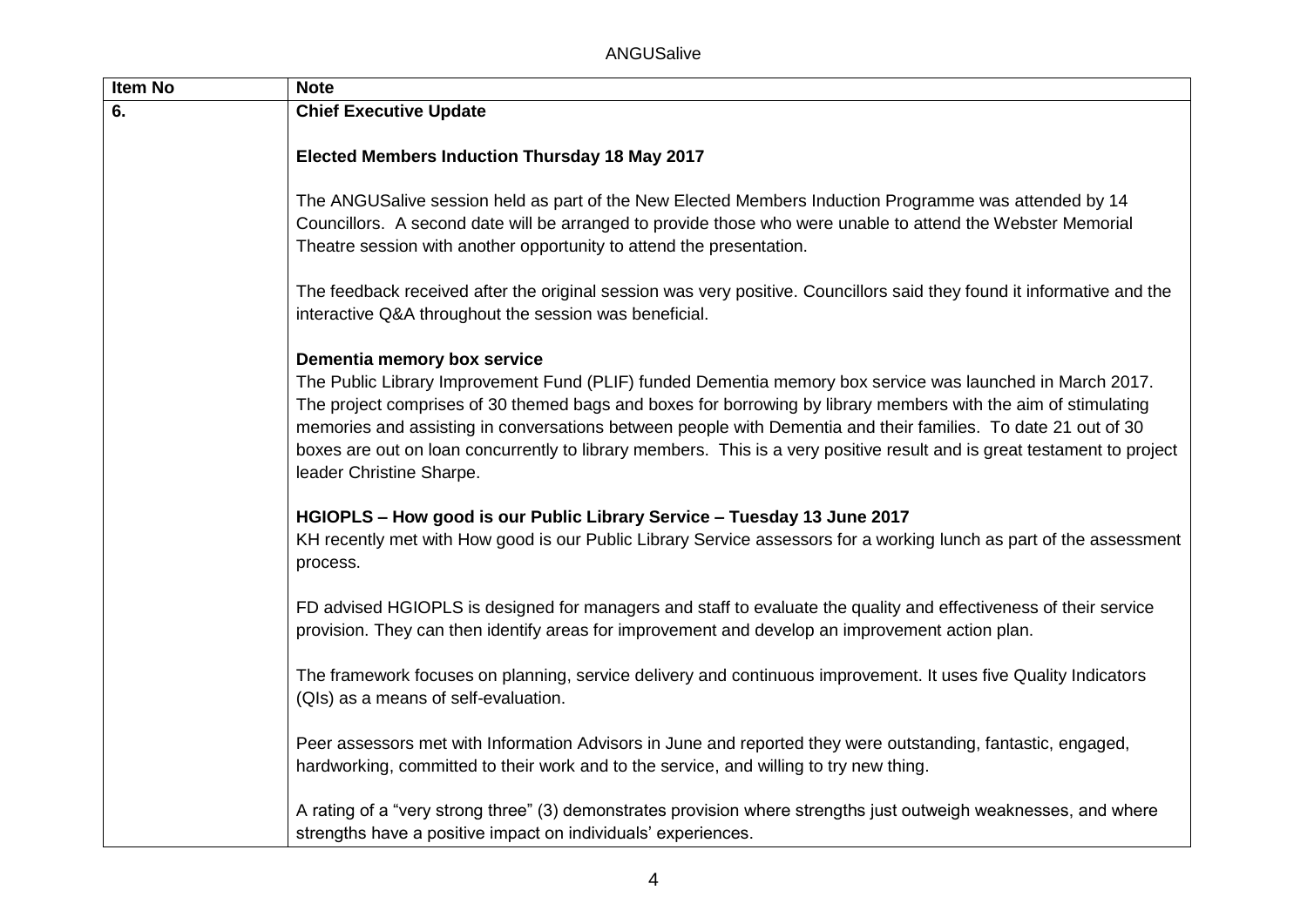| Item No                             | <b>Note</b>                                                                                                                                                                                                                                                                                                                                                                                                                                                                                                                        |
|-------------------------------------|------------------------------------------------------------------------------------------------------------------------------------------------------------------------------------------------------------------------------------------------------------------------------------------------------------------------------------------------------------------------------------------------------------------------------------------------------------------------------------------------------------------------------------|
| <b>Chief Executive Update</b><br>6. |                                                                                                                                                                                                                                                                                                                                                                                                                                                                                                                                    |
|                                     | <b>Elected Members Induction Thursday 18 May 2017</b>                                                                                                                                                                                                                                                                                                                                                                                                                                                                              |
|                                     | The ANGUSalive session held as part of the New Elected Members Induction Programme was attended by 14<br>Councillors. A second date will be arranged to provide those who were unable to attend the Webster Memorial<br>Theatre session with another opportunity to attend the presentation.                                                                                                                                                                                                                                       |
|                                     | The feedback received after the original session was very positive. Councillors said they found it informative and the<br>interactive Q&A throughout the session was beneficial.                                                                                                                                                                                                                                                                                                                                                   |
|                                     | Dementia memory box service<br>The Public Library Improvement Fund (PLIF) funded Dementia memory box service was launched in March 2017.<br>The project comprises of 30 themed bags and boxes for borrowing by library members with the aim of stimulating<br>memories and assisting in conversations between people with Dementia and their families. To date 21 out of 30<br>boxes are out on loan concurrently to library members. This is a very positive result and is great testament to project<br>leader Christine Sharpe. |
|                                     | HGIOPLS - How good is our Public Library Service - Tuesday 13 June 2017<br>KH recently met with How good is our Public Library Service assessors for a working lunch as part of the assessment<br>process.                                                                                                                                                                                                                                                                                                                         |
|                                     | FD advised HGIOPLS is designed for managers and staff to evaluate the quality and effectiveness of their service<br>provision. They can then identify areas for improvement and develop an improvement action plan.                                                                                                                                                                                                                                                                                                                |
|                                     | The framework focuses on planning, service delivery and continuous improvement. It uses five Quality Indicators<br>(QIs) as a means of self-evaluation.                                                                                                                                                                                                                                                                                                                                                                            |
|                                     | Peer assessors met with Information Advisors in June and reported they were outstanding, fantastic, engaged,<br>hardworking, committed to their work and to the service, and willing to try new thing.                                                                                                                                                                                                                                                                                                                             |
|                                     | A rating of a "very strong three" (3) demonstrates provision where strengths just outweigh weaknesses, and where<br>strengths have a positive impact on individuals' experiences.                                                                                                                                                                                                                                                                                                                                                  |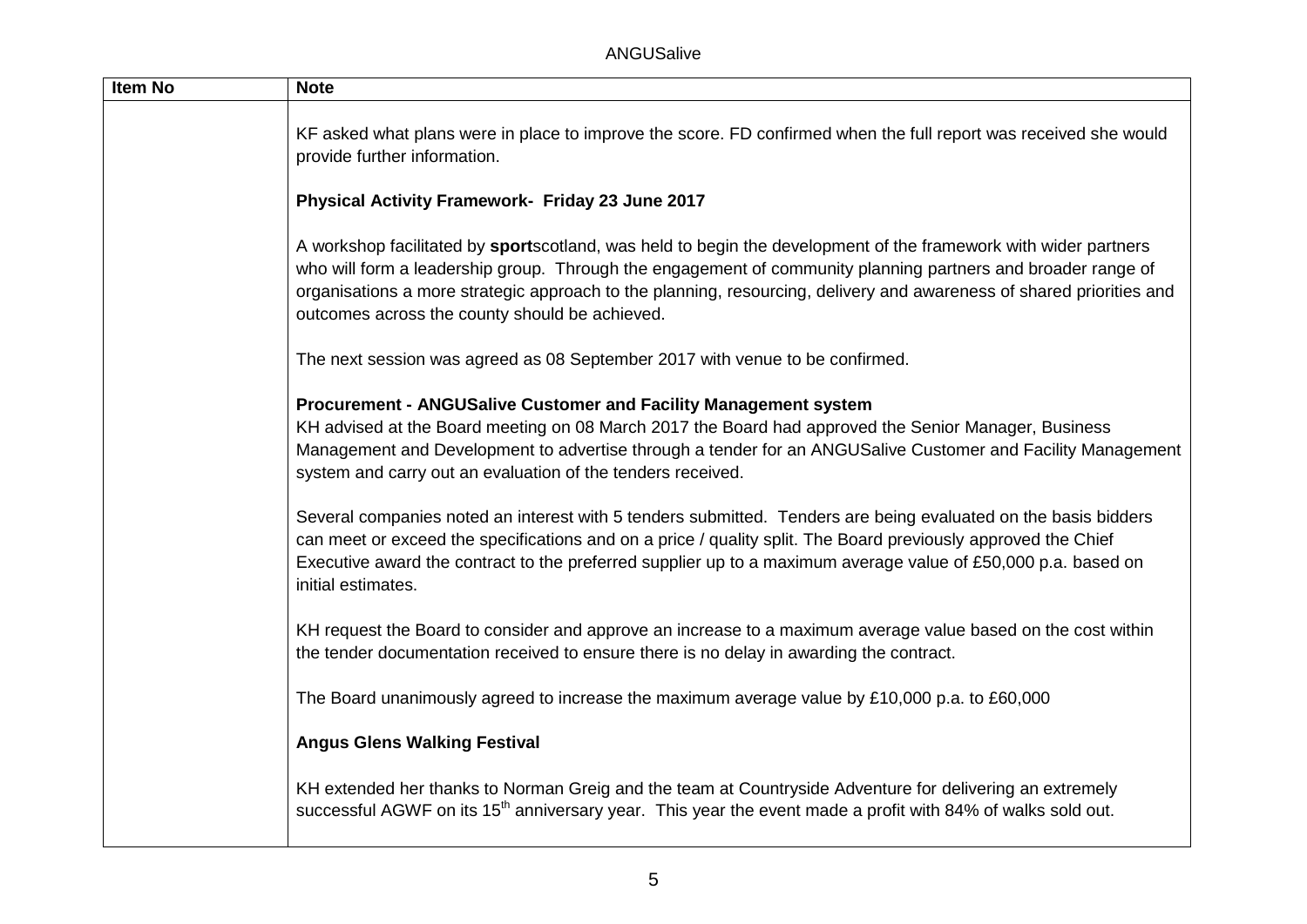| <b>Item No</b> | <b>Note</b>                                                                                                                                                                                                                                                                                                                                                                                               |
|----------------|-----------------------------------------------------------------------------------------------------------------------------------------------------------------------------------------------------------------------------------------------------------------------------------------------------------------------------------------------------------------------------------------------------------|
|                | KF asked what plans were in place to improve the score. FD confirmed when the full report was received she would<br>provide further information.                                                                                                                                                                                                                                                          |
|                | Physical Activity Framework- Friday 23 June 2017                                                                                                                                                                                                                                                                                                                                                          |
|                | A workshop facilitated by sportscotland, was held to begin the development of the framework with wider partners<br>who will form a leadership group. Through the engagement of community planning partners and broader range of<br>organisations a more strategic approach to the planning, resourcing, delivery and awareness of shared priorities and<br>outcomes across the county should be achieved. |
|                | The next session was agreed as 08 September 2017 with venue to be confirmed.                                                                                                                                                                                                                                                                                                                              |
|                | Procurement - ANGUSalive Customer and Facility Management system<br>KH advised at the Board meeting on 08 March 2017 the Board had approved the Senior Manager, Business<br>Management and Development to advertise through a tender for an ANGUSalive Customer and Facility Management<br>system and carry out an evaluation of the tenders received.                                                    |
|                | Several companies noted an interest with 5 tenders submitted. Tenders are being evaluated on the basis bidders<br>can meet or exceed the specifications and on a price / quality split. The Board previously approved the Chief<br>Executive award the contract to the preferred supplier up to a maximum average value of £50,000 p.a. based on<br>initial estimates.                                    |
|                | KH request the Board to consider and approve an increase to a maximum average value based on the cost within<br>the tender documentation received to ensure there is no delay in awarding the contract.                                                                                                                                                                                                   |
|                | The Board unanimously agreed to increase the maximum average value by £10,000 p.a. to £60,000                                                                                                                                                                                                                                                                                                             |
|                | <b>Angus Glens Walking Festival</b>                                                                                                                                                                                                                                                                                                                                                                       |
|                | KH extended her thanks to Norman Greig and the team at Countryside Adventure for delivering an extremely<br>successful AGWF on its 15 <sup>th</sup> anniversary year. This year the event made a profit with 84% of walks sold out.                                                                                                                                                                       |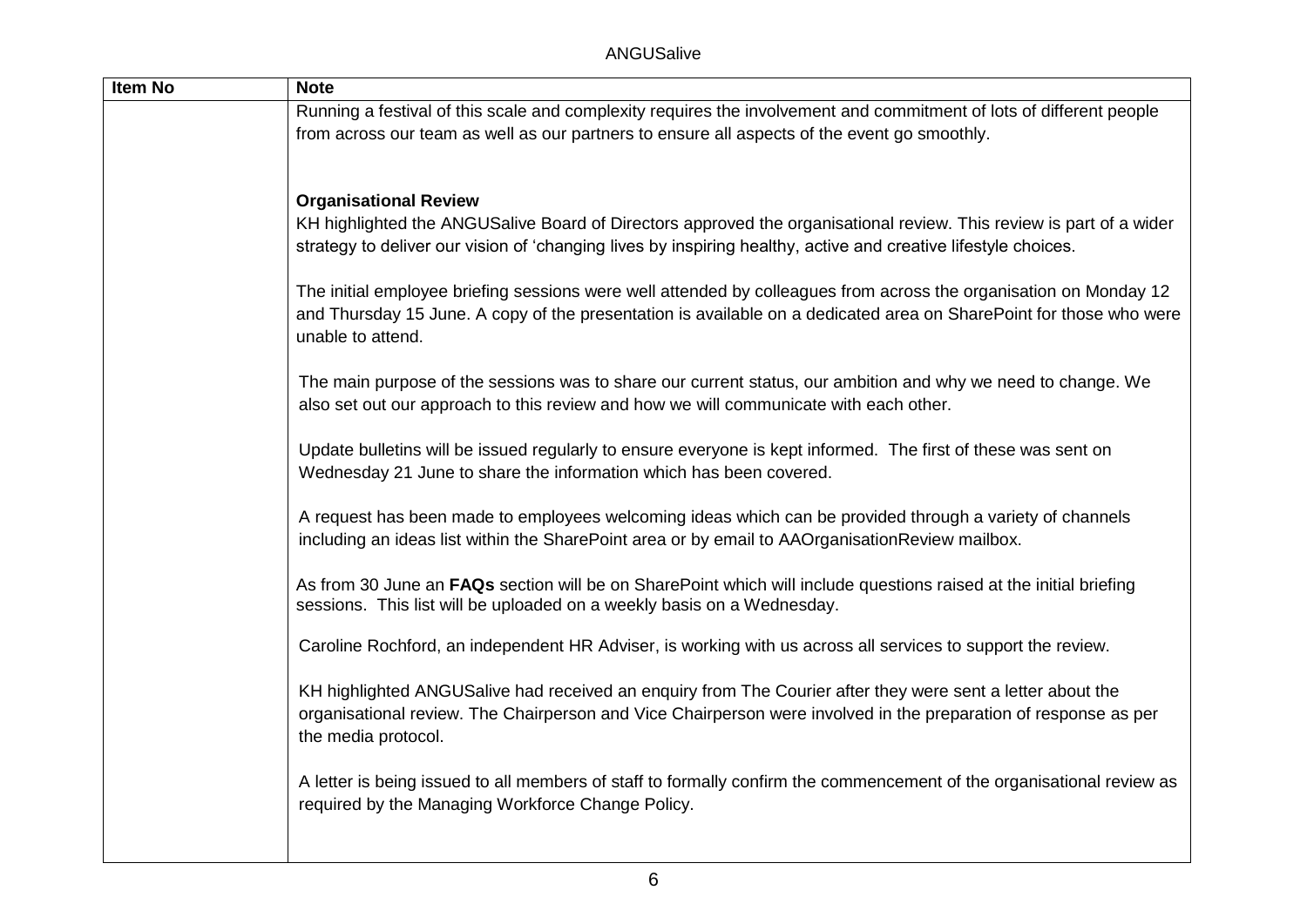| <b>Item No</b> | <b>Note</b>                                                                                                                                                                                                                                                  |
|----------------|--------------------------------------------------------------------------------------------------------------------------------------------------------------------------------------------------------------------------------------------------------------|
|                | Running a festival of this scale and complexity requires the involvement and commitment of lots of different people                                                                                                                                          |
|                | from across our team as well as our partners to ensure all aspects of the event go smoothly.                                                                                                                                                                 |
|                |                                                                                                                                                                                                                                                              |
|                |                                                                                                                                                                                                                                                              |
|                | <b>Organisational Review</b>                                                                                                                                                                                                                                 |
|                | KH highlighted the ANGUSalive Board of Directors approved the organisational review. This review is part of a wider<br>strategy to deliver our vision of 'changing lives by inspiring healthy, active and creative lifestyle choices.                        |
|                | The initial employee briefing sessions were well attended by colleagues from across the organisation on Monday 12<br>and Thursday 15 June. A copy of the presentation is available on a dedicated area on SharePoint for those who were<br>unable to attend. |
|                | The main purpose of the sessions was to share our current status, our ambition and why we need to change. We<br>also set out our approach to this review and how we will communicate with each other.                                                        |
|                | Update bulletins will be issued regularly to ensure everyone is kept informed. The first of these was sent on<br>Wednesday 21 June to share the information which has been covered.                                                                          |
|                | A request has been made to employees welcoming ideas which can be provided through a variety of channels<br>including an ideas list within the SharePoint area or by email to AAOrganisationReview mailbox.                                                  |
|                | As from 30 June an FAQs section will be on SharePoint which will include questions raised at the initial briefing<br>sessions. This list will be uploaded on a weekly basis on a Wednesday.                                                                  |
|                | Caroline Rochford, an independent HR Adviser, is working with us across all services to support the review.                                                                                                                                                  |
|                | KH highlighted ANGUSalive had received an enquiry from The Courier after they were sent a letter about the<br>organisational review. The Chairperson and Vice Chairperson were involved in the preparation of response as per<br>the media protocol.         |
|                | A letter is being issued to all members of staff to formally confirm the commencement of the organisational review as<br>required by the Managing Workforce Change Policy.                                                                                   |
|                |                                                                                                                                                                                                                                                              |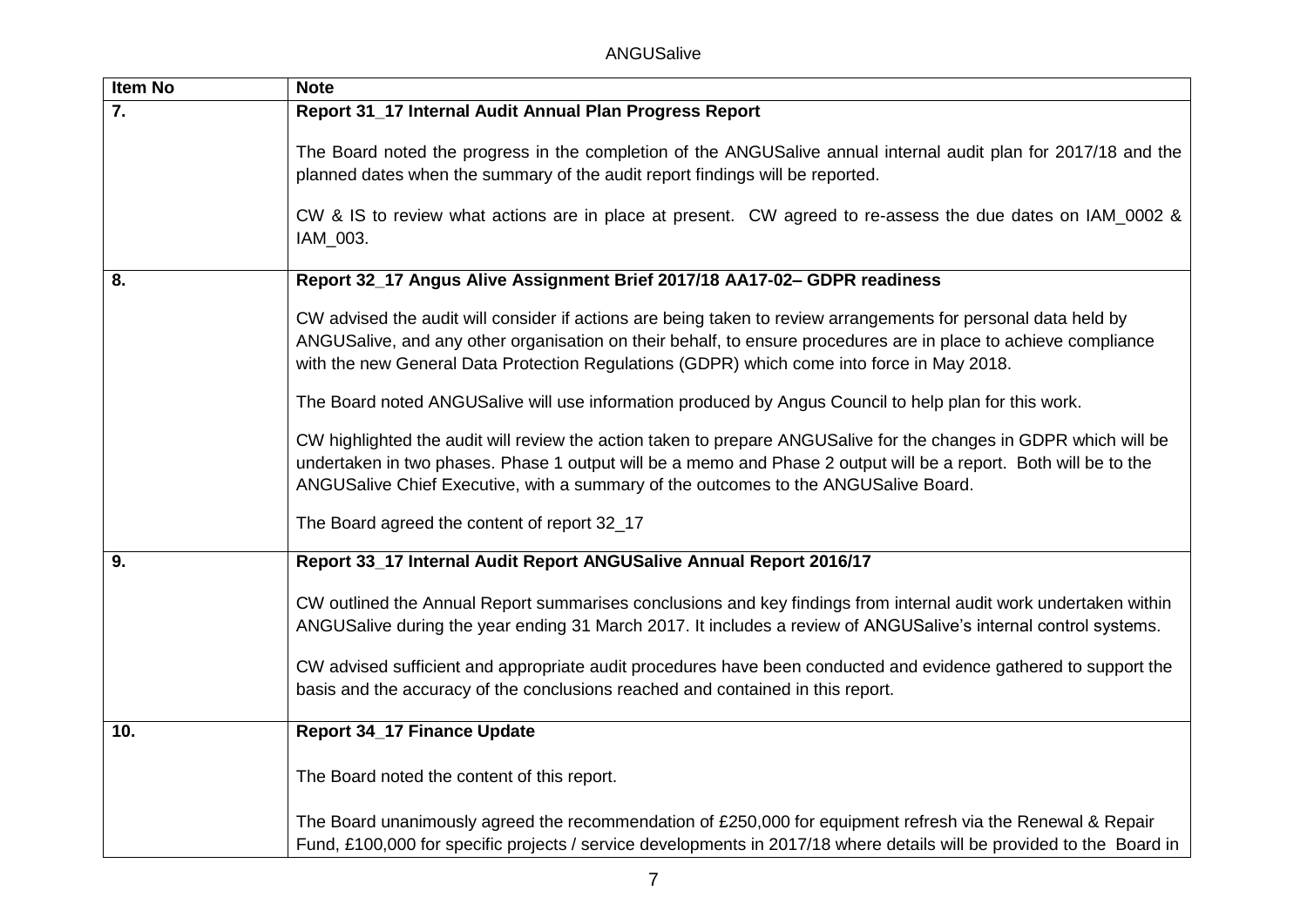ANGUSalive

| <b>Item No</b> | <b>Note</b>                                                                                                                                                                                                                                                                                                                     |
|----------------|---------------------------------------------------------------------------------------------------------------------------------------------------------------------------------------------------------------------------------------------------------------------------------------------------------------------------------|
| 7.             | Report 31_17 Internal Audit Annual Plan Progress Report                                                                                                                                                                                                                                                                         |
|                | The Board noted the progress in the completion of the ANGUSalive annual internal audit plan for 2017/18 and the<br>planned dates when the summary of the audit report findings will be reported.                                                                                                                                |
|                | CW & IS to review what actions are in place at present. CW agreed to re-assess the due dates on IAM_0002 &<br>IAM_003.                                                                                                                                                                                                          |
| 8.             | Report 32_17 Angus Alive Assignment Brief 2017/18 AA17-02- GDPR readiness                                                                                                                                                                                                                                                       |
|                | CW advised the audit will consider if actions are being taken to review arrangements for personal data held by<br>ANGUSalive, and any other organisation on their behalf, to ensure procedures are in place to achieve compliance<br>with the new General Data Protection Regulations (GDPR) which come into force in May 2018. |
|                | The Board noted ANGUSalive will use information produced by Angus Council to help plan for this work.                                                                                                                                                                                                                           |
|                | CW highlighted the audit will review the action taken to prepare ANGUSalive for the changes in GDPR which will be<br>undertaken in two phases. Phase 1 output will be a memo and Phase 2 output will be a report. Both will be to the<br>ANGUSalive Chief Executive, with a summary of the outcomes to the ANGUSalive Board.    |
|                | The Board agreed the content of report 32_17                                                                                                                                                                                                                                                                                    |
| 9.             | Report 33_17 Internal Audit Report ANGUSalive Annual Report 2016/17                                                                                                                                                                                                                                                             |
|                | CW outlined the Annual Report summarises conclusions and key findings from internal audit work undertaken within<br>ANGUSalive during the year ending 31 March 2017. It includes a review of ANGUSalive's internal control systems.                                                                                             |
|                | CW advised sufficient and appropriate audit procedures have been conducted and evidence gathered to support the<br>basis and the accuracy of the conclusions reached and contained in this report.                                                                                                                              |
| 10.            | <b>Report 34_17 Finance Update</b>                                                                                                                                                                                                                                                                                              |
|                | The Board noted the content of this report.                                                                                                                                                                                                                                                                                     |
|                | The Board unanimously agreed the recommendation of £250,000 for equipment refresh via the Renewal & Repair<br>Fund, £100,000 for specific projects / service developments in 2017/18 where details will be provided to the Board in                                                                                             |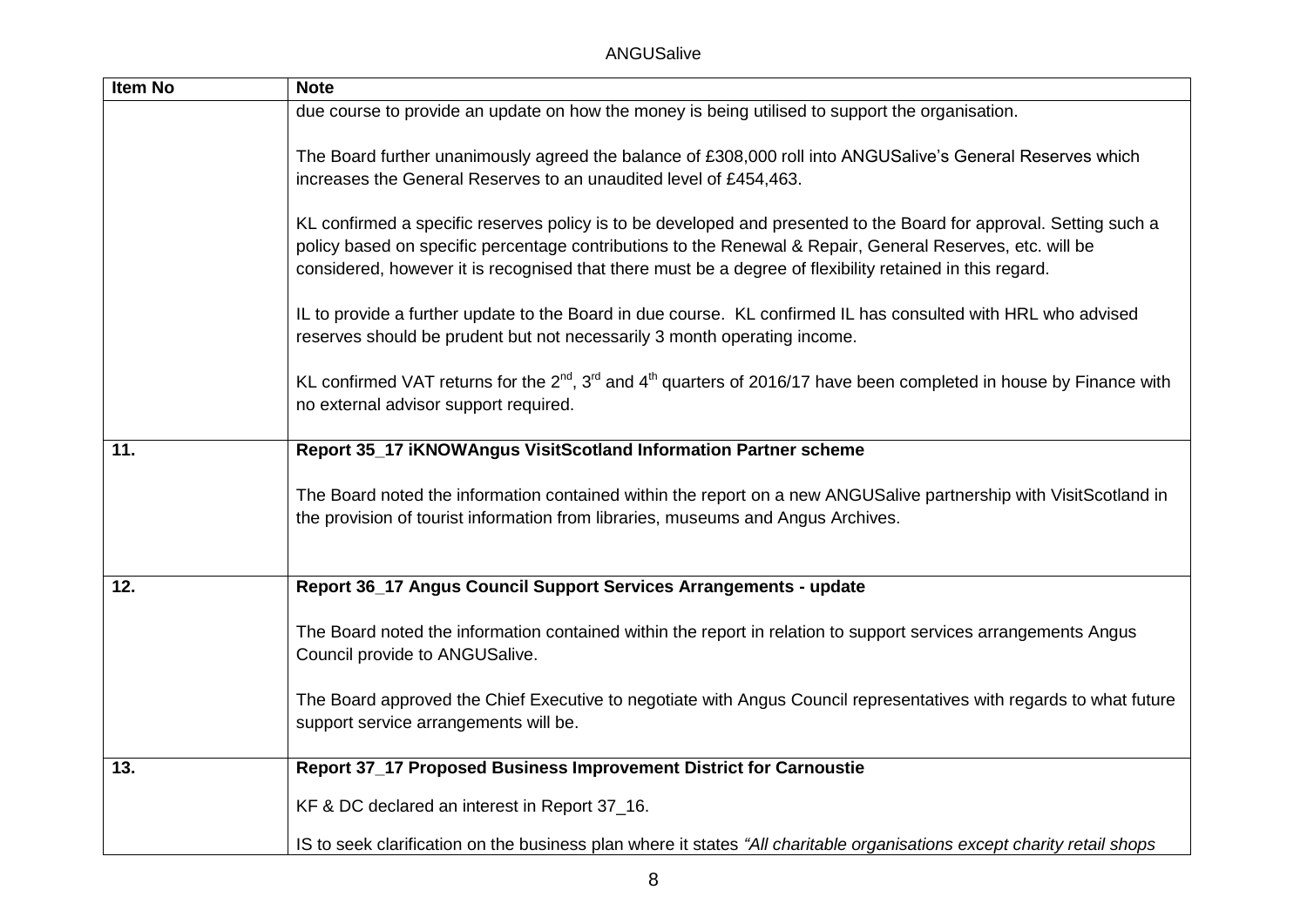| <b>Item No</b> | <b>Note</b>                                                                                                                                                                                                                                                                                                                                 |
|----------------|---------------------------------------------------------------------------------------------------------------------------------------------------------------------------------------------------------------------------------------------------------------------------------------------------------------------------------------------|
|                | due course to provide an update on how the money is being utilised to support the organisation.                                                                                                                                                                                                                                             |
|                | The Board further unanimously agreed the balance of £308,000 roll into ANGUSalive's General Reserves which<br>increases the General Reserves to an unaudited level of £454,463.                                                                                                                                                             |
|                | KL confirmed a specific reserves policy is to be developed and presented to the Board for approval. Setting such a<br>policy based on specific percentage contributions to the Renewal & Repair, General Reserves, etc. will be<br>considered, however it is recognised that there must be a degree of flexibility retained in this regard. |
|                | IL to provide a further update to the Board in due course. KL confirmed IL has consulted with HRL who advised<br>reserves should be prudent but not necessarily 3 month operating income.                                                                                                                                                   |
|                | KL confirmed VAT returns for the $2^{nd}$ , $3^{rd}$ and $4^{th}$ quarters of 2016/17 have been completed in house by Finance with<br>no external advisor support required.                                                                                                                                                                 |
| 11.            | Report 35_17 iKNOWAngus VisitScotland Information Partner scheme                                                                                                                                                                                                                                                                            |
|                | The Board noted the information contained within the report on a new ANGUSalive partnership with VisitScotland in<br>the provision of tourist information from libraries, museums and Angus Archives.                                                                                                                                       |
| 12.            | Report 36_17 Angus Council Support Services Arrangements - update                                                                                                                                                                                                                                                                           |
|                | The Board noted the information contained within the report in relation to support services arrangements Angus<br>Council provide to ANGUSalive.                                                                                                                                                                                            |
|                | The Board approved the Chief Executive to negotiate with Angus Council representatives with regards to what future<br>support service arrangements will be.                                                                                                                                                                                 |
| 13.            | Report 37_17 Proposed Business Improvement District for Carnoustie                                                                                                                                                                                                                                                                          |
|                | KF & DC declared an interest in Report 37_16.                                                                                                                                                                                                                                                                                               |
|                | IS to seek clarification on the business plan where it states "All charitable organisations except charity retail shops                                                                                                                                                                                                                     |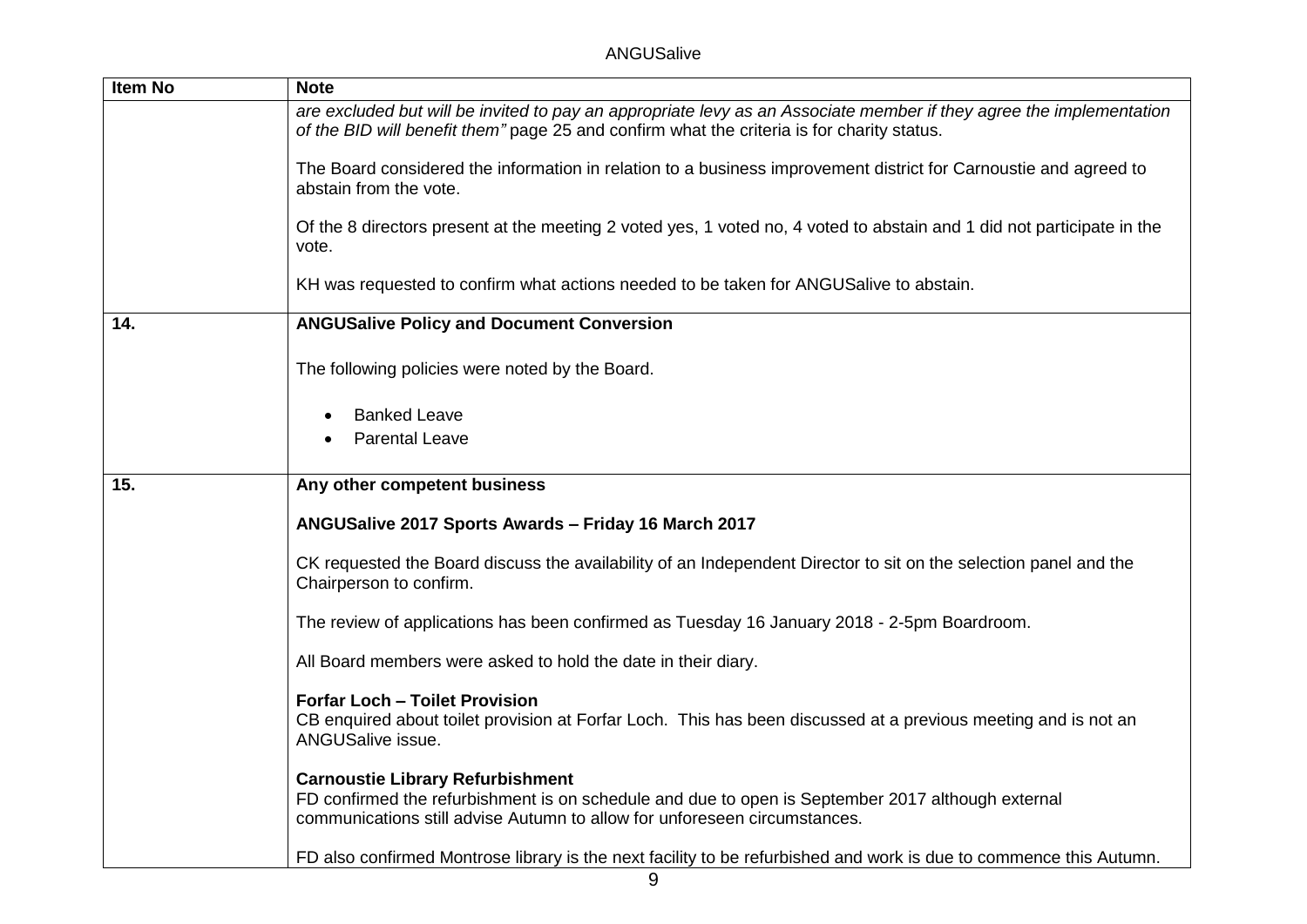| <b>Item No</b> | <b>Note</b>                                                                                                                                                                                                               |
|----------------|---------------------------------------------------------------------------------------------------------------------------------------------------------------------------------------------------------------------------|
|                | are excluded but will be invited to pay an appropriate levy as an Associate member if they agree the implementation<br>of the BID will benefit them" page 25 and confirm what the criteria is for charity status.         |
|                | The Board considered the information in relation to a business improvement district for Carnoustie and agreed to<br>abstain from the vote.                                                                                |
|                | Of the 8 directors present at the meeting 2 voted yes, 1 voted no, 4 voted to abstain and 1 did not participate in the<br>vote.                                                                                           |
|                | KH was requested to confirm what actions needed to be taken for ANGUSalive to abstain.                                                                                                                                    |
| 14.            | <b>ANGUSalive Policy and Document Conversion</b>                                                                                                                                                                          |
|                | The following policies were noted by the Board.                                                                                                                                                                           |
|                | <b>Banked Leave</b>                                                                                                                                                                                                       |
|                | <b>Parental Leave</b>                                                                                                                                                                                                     |
| 15.            | Any other competent business                                                                                                                                                                                              |
|                | ANGUSalive 2017 Sports Awards - Friday 16 March 2017                                                                                                                                                                      |
|                | CK requested the Board discuss the availability of an Independent Director to sit on the selection panel and the<br>Chairperson to confirm.                                                                               |
|                | The review of applications has been confirmed as Tuesday 16 January 2018 - 2-5pm Boardroom.                                                                                                                               |
|                | All Board members were asked to hold the date in their diary.                                                                                                                                                             |
|                | <b>Forfar Loch - Toilet Provision</b><br>CB enquired about toilet provision at Forfar Loch. This has been discussed at a previous meeting and is not an<br>ANGUSalive issue.                                              |
|                | <b>Carnoustie Library Refurbishment</b><br>FD confirmed the refurbishment is on schedule and due to open is September 2017 although external<br>communications still advise Autumn to allow for unforeseen circumstances. |
|                | FD also confirmed Montrose library is the next facility to be refurbished and work is due to commence this Autumn.                                                                                                        |